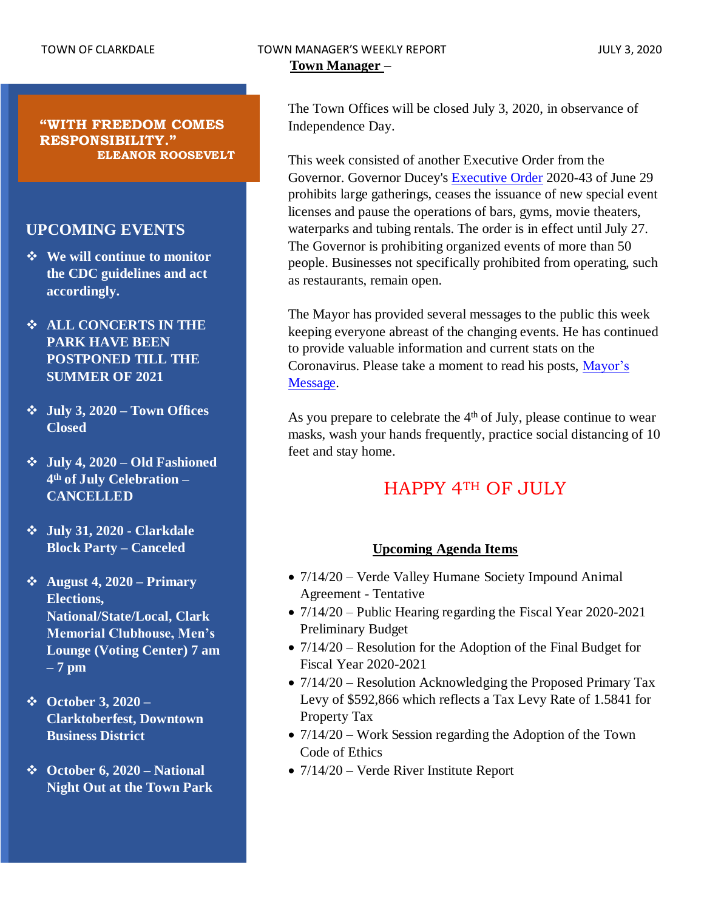#### TOWN OF CLARKDALE TOWN MANAGER'S WEEKLY REPORT JULY 3, 2020 **Town Manager** –

The Town Offices will be closed July 3, 2020, in observance of Independence Day.

This week consisted of another Executive Order from the Governor. Governor Ducey's [Executive Order](https://azgovernor.gov/sites/default/files/eo_2020-43.pdf) 2020-43 of June 29 prohibits large gatherings, ceases the issuance of new special event licenses and pause the operations of bars, gyms, movie theaters, waterparks and tubing rentals. The order is in effect until July 27. The Governor is prohibiting organized events of more than 50 people. Businesses not specifically prohibited from operating, such as restaurants, remain open.

The Mayor has provided several messages to the public this week keeping everyone abreast of the changing events. He has continued to provide valuable information and current stats on the Coronavirus. Please take a moment to read his posts, [Mayor's](https://www.clarkdale.az.gov/your_government/covid-19_information_and_resources/index.php)  [Message.](https://www.clarkdale.az.gov/your_government/covid-19_information_and_resources/index.php)

As you prepare to celebrate the  $4<sup>th</sup>$  of July, please continue to wear masks, wash your hands frequently, practice social distancing of 10 feet and stay home.

# HAPPY 4TH OF JULY

#### **Upcoming Agenda Items**

- $7/14/20$  Verde Valley Humane Society Impound Animal Agreement - Tentative
- 7/14/20 Public Hearing regarding the Fiscal Year 2020-2021 Preliminary Budget
- $7/14/20$  Resolution for the Adoption of the Final Budget for Fiscal Year 2020-2021
- 7/14/20 Resolution Acknowledging the Proposed Primary Tax Levy of \$592,866 which reflects a Tax Levy Rate of 1.5841 for Property Tax
- 7/14/20 Work Session regarding the Adoption of the Town Code of Ethics
- $7/14/20$  Verde River Institute Report

**"WITH FREEDOM COMES RESPONSIBILITY." ELEANOR ROOSEVELT**

### **UPCOMING EVENTS**

- ❖ **We will continue to monitor the CDC guidelines and act accordingly.**
- ❖ **ALL CONCERTS IN THE PARK HAVE BEEN POSTPONED TILL THE SUMMER OF 2021**
- ❖ **July 3, 2020 – Town Offices Closed**
- ❖ **July 4, 2020 – Old Fashioned 4 th of July Celebration – CANCELLED**
- ❖ **July 31, 2020 - Clarkdale Block Party – Canceled**
- ❖ **August 4, 2020 – Primary Elections, National/State/Local, Clark Memorial Clubhouse, Men's Lounge (Voting Center) 7 am – 7 pm**
- ❖ **October 3, 2020 – Clarktoberfest, Downtown Business District**
- ❖ **October 6, 2020 – National Night Out at the Town Park**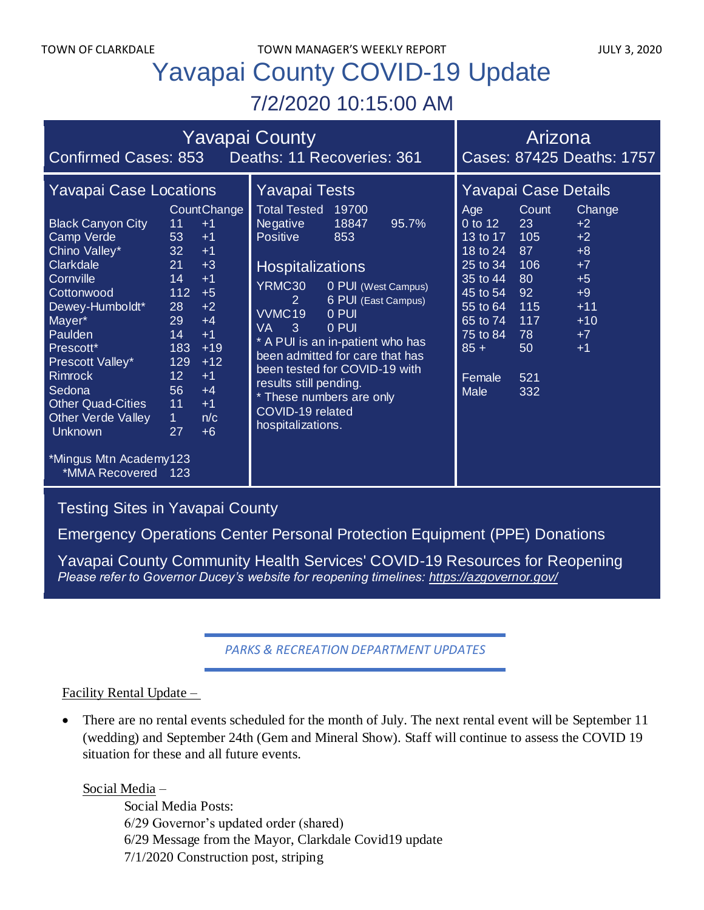# Yavapai County COVID-19 Update 7/2/2020 10:15:00 AM

| <b>Yavapai County</b>                                                                                                                                                                                                                                                                                                                                                                                                                                                                                                                                                                                                                            |                                                                                                                                                                                                                                                                                                                                                                                                                                                                                    | Arizona                                                                                                                                                                                                                                                                                                                                                        |
|--------------------------------------------------------------------------------------------------------------------------------------------------------------------------------------------------------------------------------------------------------------------------------------------------------------------------------------------------------------------------------------------------------------------------------------------------------------------------------------------------------------------------------------------------------------------------------------------------------------------------------------------------|------------------------------------------------------------------------------------------------------------------------------------------------------------------------------------------------------------------------------------------------------------------------------------------------------------------------------------------------------------------------------------------------------------------------------------------------------------------------------------|----------------------------------------------------------------------------------------------------------------------------------------------------------------------------------------------------------------------------------------------------------------------------------------------------------------------------------------------------------------|
| Confirmed Cases: 853 Deaths: 11 Recoveries: 361                                                                                                                                                                                                                                                                                                                                                                                                                                                                                                                                                                                                  |                                                                                                                                                                                                                                                                                                                                                                                                                                                                                    | Cases: 87425 Deaths: 1757                                                                                                                                                                                                                                                                                                                                      |
| <b>Yavapai Case Locations</b><br><b>CountChange</b><br><b>Black Canyon City</b><br>11<br>$+1$<br>Camp Verde<br>53<br>$+1$<br>Chino Valley*<br>32<br>$+1$<br>Clarkdale<br>21<br>$+3$<br>14<br>Cornville<br>$+1$<br>112<br>Cottonwood<br>$+5$<br>Dewey-Humboldt*<br>28<br>$+2$<br>29<br>Mayer*<br>$+4$<br>Paulden<br>14<br>$+1$<br>183<br>$+19$<br>Prescott*<br>129<br>$+12$<br>Prescott Valley*<br>12 <sub>2</sub><br><b>Rimrock</b><br>$+1$<br>56<br>Sedona<br>$+4$<br><b>Other Quad-Cities</b><br>11<br>$+1$<br><b>Other Verde Valley</b><br>$\mathbf 1$<br>n/c<br>27<br><b>Unknown</b><br>$+6$<br>*Mingus Mtn Academy123<br>*MMA Recovered 123 | Yavapai Tests<br><b>Total Tested</b><br>19700<br><b>Negative</b><br>18847<br>95.7%<br><b>Positive</b><br>853<br><b>Hospitalizations</b><br>YRMC30<br>0 PUI (West Campus)<br>6 PUI (East Campus)<br>2 <sup>1</sup><br>VVMC <sub>19</sub><br>0 PUI<br><b>VA</b><br>3<br>0 PUI<br>* A PUI is an in-patient who has<br>been admitted for care that has<br>been tested for COVID-19 with<br>results still pending.<br>* These numbers are only<br>COVID-19 related<br>hospitalizations. | Yavapai Case Details<br>Count<br>Change<br>Age<br>0 to 12<br>23<br>$+2$<br>$+2$<br>13 to $17$<br>105<br>18 to 24<br>$+8$<br>87<br>25 to 34<br>106<br>$+7$<br>35 to 44<br>80<br>$+5$<br>45 to 54<br>92<br>$+9$<br>55 to 64<br>115<br>$+11$<br>117<br>65 to 74<br>$+10$<br>75 to 84<br>78<br>$+7$<br>$85 +$<br>50<br>$+1$<br>Female<br>521<br><b>Male</b><br>332 |

## [Testing Sites in Yavapai County](https://www.yavapai.us/Portals/39/COVID-19/TestingSitesinYavapaiCounty.pdf)

[Emergency Operations Center Personal Protection Equipment \(PPE\) Donations](http://www.yavapai.us/Portals/39/PPE%20Donations.pdf)

[Yavapai County Community Health Services' COVID-19 Resources for Reopening](https://www.yavapai.us/chs/COVID-19) *Please refer to Governor Ducey's website for reopening timelines: <https://azgovernor.gov/>*

*PARKS & RECREATION DEPARTMENT UPDATES*

#### Facility Rental Update –

• There are no rental events scheduled for the month of July. The next rental event will be September 11 (wedding) and September 24th (Gem and Mineral Show). Staff will continue to assess the COVID 19 situation for these and all future events.

Social Media –

Social Media Posts: 6/29 Governor's updated order (shared) 6/29 Message from the Mayor, Clarkdale Covid19 update 7/1/2020 Construction post, striping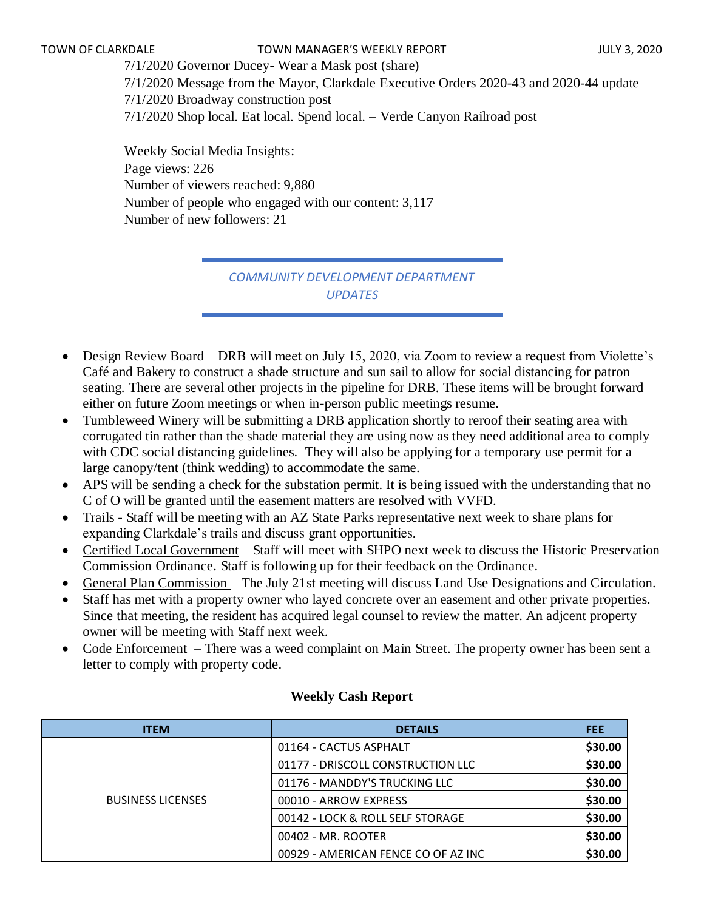7/1/2020 Governor Ducey- Wear a Mask post (share) 7/1/2020 Message from the Mayor, Clarkdale Executive Orders 2020-43 and 2020-44 update 7/1/2020 Broadway construction post 7/1/2020 Shop local. Eat local. Spend local. – Verde Canyon Railroad post

Weekly Social Media Insights: Page views: 226 Number of viewers reached: 9,880 Number of people who engaged with our content: 3,117 Number of new followers: 21

> *COMMUNITY DEVELOPMENT DEPARTMENT UPDATES*

- Design Review Board DRB will meet on July 15, 2020, via Zoom to review a request from Violette's Café and Bakery to construct a shade structure and sun sail to allow for social distancing for patron seating. There are several other projects in the pipeline for DRB. These items will be brought forward either on future Zoom meetings or when in-person public meetings resume.
- Tumbleweed Winery will be submitting a DRB application shortly to reroof their seating area with corrugated tin rather than the shade material they are using now as they need additional area to comply with CDC social distancing guidelines. They will also be applying for a temporary use permit for a large canopy/tent (think wedding) to accommodate the same.
- APS will be sending a check for the substation permit. It is being issued with the understanding that no C of O will be granted until the easement matters are resolved with VVFD.
- Trails Staff will be meeting with an AZ State Parks representative next week to share plans for expanding Clarkdale's trails and discuss grant opportunities.
- Certified Local Government Staff will meet with SHPO next week to discuss the Historic Preservation Commission Ordinance. Staff is following up for their feedback on the Ordinance.
- General Plan Commission The July 21st meeting will discuss Land Use Designations and Circulation.
- Staff has met with a property owner who layed concrete over an easement and other private properties. Since that meeting, the resident has acquired legal counsel to review the matter. An adjcent property owner will be meeting with Staff next week.
- Code Enforcement There was a weed complaint on Main Street. The property owner has been sent a letter to comply with property code.

| <b>ITEM</b>              | <b>DETAILS</b>                      | <b>FEE</b> |
|--------------------------|-------------------------------------|------------|
|                          | 01164 - CACTUS ASPHALT              | \$30.00    |
|                          | 01177 - DRISCOLL CONSTRUCTION LLC   | \$30.00    |
|                          | 01176 - MANDDY'S TRUCKING LLC       | \$30.00    |
| <b>BUSINESS LICENSES</b> | 00010 - ARROW EXPRESS               | \$30.00    |
|                          | 00142 - LOCK & ROLL SELF STORAGE    | \$30.00    |
|                          | 00402 - MR. ROOTER                  | \$30.00    |
|                          | 00929 - AMERICAN FENCE CO OF AZ INC | \$30.00    |

#### **Weekly Cash Report**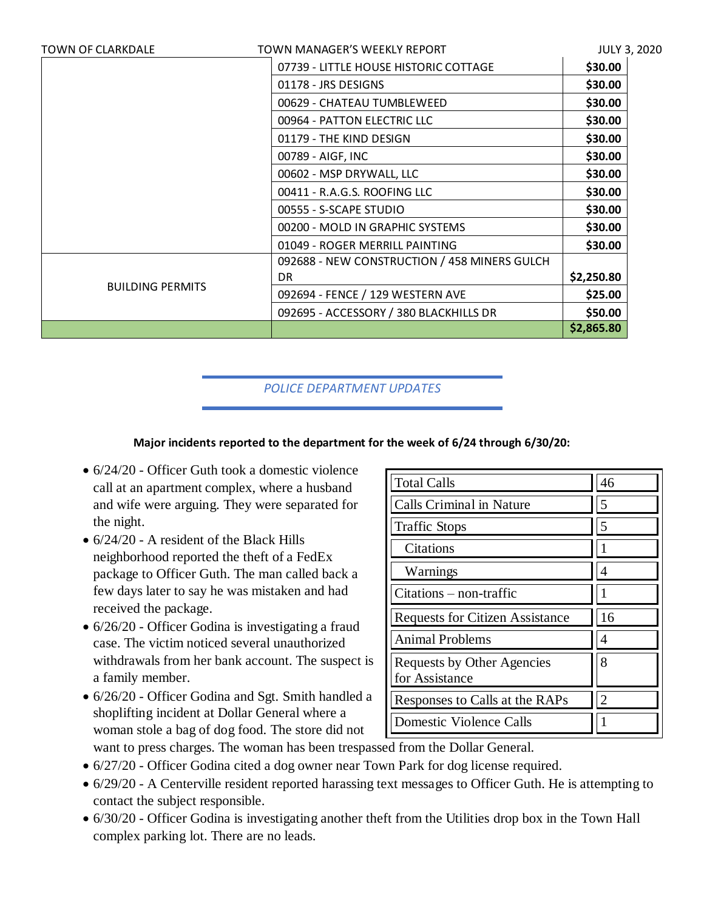| <b>TOWN OF CLARKDALE</b> | TOWN MANAGER'S WEEKLY REPORT                 | <b>JULY 3, 2020</b> |
|--------------------------|----------------------------------------------|---------------------|
|                          | 07739 - LITTLE HOUSE HISTORIC COTTAGE        | \$30.00             |
|                          | 01178 - JRS DESIGNS                          | \$30.00             |
|                          | 00629 - CHATEAU TUMBLEWEED                   | \$30.00             |
|                          | 00964 - PATTON ELECTRIC LLC                  | \$30.00             |
|                          | 01179 - THE KIND DESIGN                      | \$30.00             |
|                          | 00789 - AIGF, INC                            | \$30.00             |
|                          | 00602 - MSP DRYWALL, LLC                     | \$30.00             |
|                          | 00411 - R.A.G.S. ROOFING LLC                 | \$30.00             |
|                          | 00555 - S-SCAPE STUDIO                       | \$30.00             |
|                          | 00200 - MOLD IN GRAPHIC SYSTEMS              | \$30.00             |
|                          | 01049 - ROGER MERRILL PAINTING               | \$30.00             |
| <b>BUILDING PERMITS</b>  | 092688 - NEW CONSTRUCTION / 458 MINERS GULCH |                     |
|                          | DR.                                          | \$2,250.80          |
|                          | 092694 - FENCE / 129 WESTERN AVE             | \$25.00             |
|                          | 092695 - ACCESSORY / 380 BLACKHILLS DR       | \$50.00             |
|                          |                                              | \$2,865.80          |

### *POLICE DEPARTMENT UPDATES*

#### **Major incidents reported to the department for the week of 6/24 through 6/30/20:**

- $6/24/20$  Officer Guth took a domestic violence call at an apartment complex, where a husband and wife were arguing. They were separated for the night.
- 6/24/20 A resident of the Black Hills neighborhood reported the theft of a FedEx package to Officer Guth. The man called back a few days later to say he was mistaken and had received the package.
- 6/26/20 Officer Godina is investigating a fraud case. The victim noticed several unauthorized withdrawals from her bank account. The suspect is a family member.
- 6/26/20 Officer Godina and Sgt. Smith handled a shoplifting incident at Dollar General where a woman stole a bag of dog food. The store did not

| <b>Total Calls</b>                           | 46             |
|----------------------------------------------|----------------|
| Calls Criminal in Nature                     | 5              |
| <b>Traffic Stops</b>                         | 5              |
| Citations                                    |                |
| Warnings                                     | Δ              |
| $Citations - non-traffic$                    |                |
| <b>Requests for Citizen Assistance</b>       | 16             |
| <b>Animal Problems</b>                       | 4              |
| Requests by Other Agencies<br>for Assistance | 8              |
| Responses to Calls at the RAPs               | $\mathfrak{D}$ |
| <b>Domestic Violence Calls</b>               |                |

want to press charges. The woman has been trespassed from the Dollar General.

- 6/27/20 Officer Godina cited a dog owner near Town Park for dog license required.
- 6/29/20 A Centerville resident reported harassing text messages to Officer Guth. He is attempting to contact the subject responsible.
- 6/30/20 Officer Godina is investigating another theft from the Utilities drop box in the Town Hall complex parking lot. There are no leads.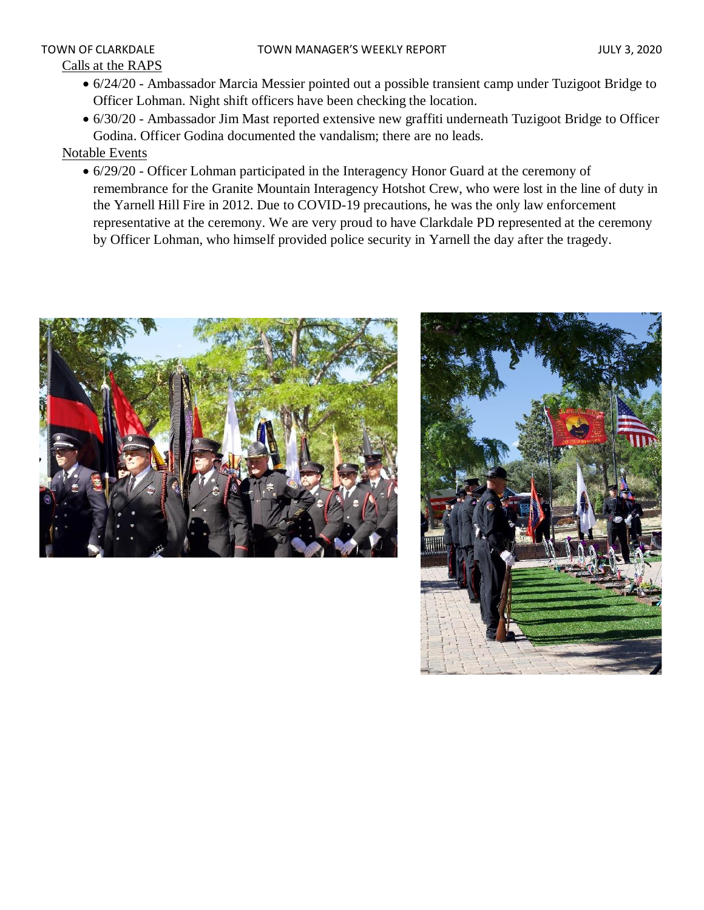# Calls at the RAPS

- 6/24/20 Ambassador Marcia Messier pointed out a possible transient camp under Tuzigoot Bridge to Officer Lohman. Night shift officers have been checking the location.
- 6/30/20 Ambassador Jim Mast reported extensive new graffiti underneath Tuzigoot Bridge to Officer Godina. Officer Godina documented the vandalism; there are no leads.

Notable Events

• 6/29/20 - Officer Lohman participated in the Interagency Honor Guard at the ceremony of remembrance for the Granite Mountain Interagency Hotshot Crew, who were lost in the line of duty in the Yarnell Hill Fire in 2012. Due to COVID-19 precautions, he was the only law enforcement representative at the ceremony. We are very proud to have Clarkdale PD represented at the ceremony by Officer Lohman, who himself provided police security in Yarnell the day after the tragedy.